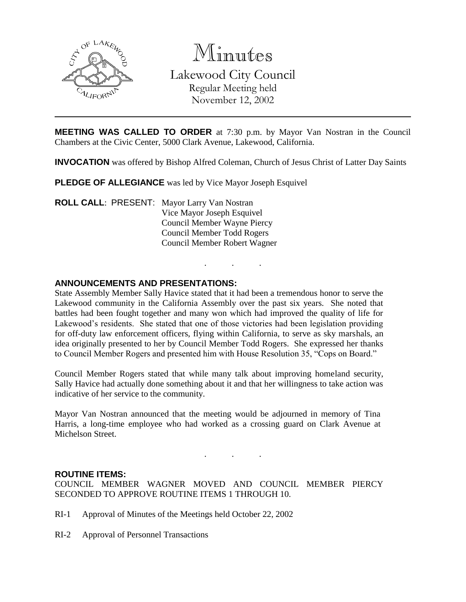

Minutes Lakewood City Council Regular Meeting held November 12, 2002

**MEETING WAS CALLED TO ORDER** at 7:30 p.m. by Mayor Van Nostran in the Council Chambers at the Civic Center, 5000 Clark Avenue, Lakewood, California.

**INVOCATION** was offered by Bishop Alfred Coleman, Church of Jesus Christ of Latter Day Saints

. . .

**PLEDGE OF ALLEGIANCE** was led by Vice Mayor Joseph Esquivel

**ROLL CALL**: PRESENT: Mayor Larry Van Nostran Vice Mayor Joseph Esquivel Council Member Wayne Piercy Council Member Todd Rogers Council Member Robert Wagner

### **ANNOUNCEMENTS AND PRESENTATIONS:**

State Assembly Member Sally Havice stated that it had been a tremendous honor to serve the Lakewood community in the California Assembly over the past six years. She noted that battles had been fought together and many won which had improved the quality of life for Lakewood's residents. She stated that one of those victories had been legislation providing for off-duty law enforcement officers, flying within California, to serve as sky marshals, an idea originally presented to her by Council Member Todd Rogers. She expressed her thanks to Council Member Rogers and presented him with House Resolution 35, "Cops on Board."

Council Member Rogers stated that while many talk about improving homeland security, Sally Havice had actually done something about it and that her willingness to take action was indicative of her service to the community.

Mayor Van Nostran announced that the meeting would be adjourned in memory of Tina Harris, a long-time employee who had worked as a crossing guard on Clark Avenue at Michelson Street.

#### **ROUTINE ITEMS:**

COUNCIL MEMBER WAGNER MOVED AND COUNCIL MEMBER PIERCY SECONDED TO APPROVE ROUTINE ITEMS 1 THROUGH 10.

- RI-1 Approval of Minutes of the Meetings held October 22, 2002
- RI-2 Approval of Personnel Transactions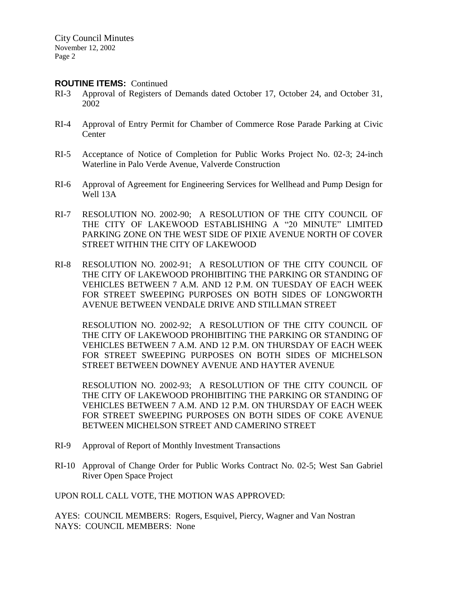#### **ROUTINE ITEMS:** Continued

- RI-3 Approval of Registers of Demands dated October 17, October 24, and October 31, 2002
- RI-4 Approval of Entry Permit for Chamber of Commerce Rose Parade Parking at Civic **Center**
- RI-5 Acceptance of Notice of Completion for Public Works Project No. 02-3; 24-inch Waterline in Palo Verde Avenue, Valverde Construction
- RI-6 Approval of Agreement for Engineering Services for Wellhead and Pump Design for Well 13A
- RI-7 RESOLUTION NO. 2002-90; A RESOLUTION OF THE CITY COUNCIL OF THE CITY OF LAKEWOOD ESTABLISHING A "20 MINUTE" LIMITED PARKING ZONE ON THE WEST SIDE OF PIXIE AVENUE NORTH OF COVER STREET WITHIN THE CITY OF LAKEWOOD
- RI-8 RESOLUTION NO. 2002-91; A RESOLUTION OF THE CITY COUNCIL OF THE CITY OF LAKEWOOD PROHIBITING THE PARKING OR STANDING OF VEHICLES BETWEEN 7 A.M. AND 12 P.M. ON TUESDAY OF EACH WEEK FOR STREET SWEEPING PURPOSES ON BOTH SIDES OF LONGWORTH AVENUE BETWEEN VENDALE DRIVE AND STILLMAN STREET

RESOLUTION NO. 2002-92; A RESOLUTION OF THE CITY COUNCIL OF THE CITY OF LAKEWOOD PROHIBITING THE PARKING OR STANDING OF VEHICLES BETWEEN 7 A.M. AND 12 P.M. ON THURSDAY OF EACH WEEK FOR STREET SWEEPING PURPOSES ON BOTH SIDES OF MICHELSON STREET BETWEEN DOWNEY AVENUE AND HAYTER AVENUE

RESOLUTION NO. 2002-93; A RESOLUTION OF THE CITY COUNCIL OF THE CITY OF LAKEWOOD PROHIBITING THE PARKING OR STANDING OF VEHICLES BETWEEN 7 A.M. AND 12 P.M. ON THURSDAY OF EACH WEEK FOR STREET SWEEPING PURPOSES ON BOTH SIDES OF COKE AVENUE BETWEEN MICHELSON STREET AND CAMERINO STREET

- RI-9 Approval of Report of Monthly Investment Transactions
- RI-10 Approval of Change Order for Public Works Contract No. 02-5; West San Gabriel River Open Space Project

UPON ROLL CALL VOTE, THE MOTION WAS APPROVED:

AYES: COUNCIL MEMBERS: Rogers, Esquivel, Piercy, Wagner and Van Nostran NAYS: COUNCIL MEMBERS: None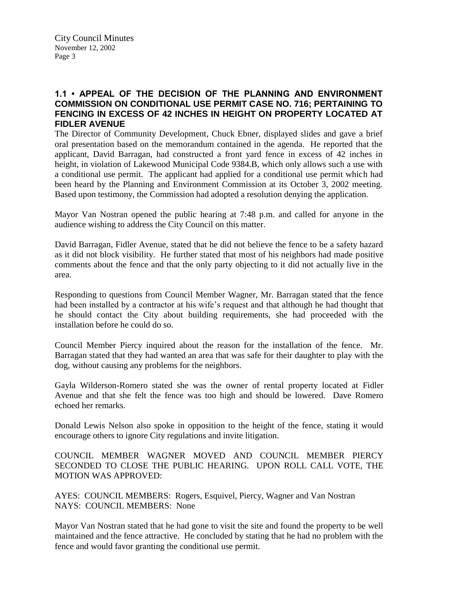# **1.1 • APPEAL OF THE DECISION OF THE PLANNING AND ENVIRONMENT COMMISSION ON CONDITIONAL USE PERMIT CASE NO. 716; PERTAINING TO FENCING IN EXCESS OF 42 INCHES IN HEIGHT ON PROPERTY LOCATED AT FIDLER AVENUE**

The Director of Community Development, Chuck Ebner, displayed slides and gave a brief oral presentation based on the memorandum contained in the agenda. He reported that the applicant, David Barragan, had constructed a front yard fence in excess of 42 inches in height, in violation of Lakewood Municipal Code 9384.B, which only allows such a use with a conditional use permit. The applicant had applied for a conditional use permit which had been heard by the Planning and Environment Commission at its October 3, 2002 meeting. Based upon testimony, the Commission had adopted a resolution denying the application.

Mayor Van Nostran opened the public hearing at 7:48 p.m. and called for anyone in the audience wishing to address the City Council on this matter.

David Barragan, Fidler Avenue, stated that he did not believe the fence to be a safety hazard as it did not block visibility. He further stated that most of his neighbors had made positive comments about the fence and that the only party objecting to it did not actually live in the area.

Responding to questions from Council Member Wagner, Mr. Barragan stated that the fence had been installed by a contractor at his wife's request and that although he had thought that he should contact the City about building requirements, she had proceeded with the installation before he could do so.

Council Member Piercy inquired about the reason for the installation of the fence. Mr. Barragan stated that they had wanted an area that was safe for their daughter to play with the dog, without causing any problems for the neighbors.

Gayla Wilderson-Romero stated she was the owner of rental property located at Fidler Avenue and that she felt the fence was too high and should be lowered. Dave Romero echoed her remarks.

Donald Lewis Nelson also spoke in opposition to the height of the fence, stating it would encourage others to ignore City regulations and invite litigation.

COUNCIL MEMBER WAGNER MOVED AND COUNCIL MEMBER PIERCY SECONDED TO CLOSE THE PUBLIC HEARING. UPON ROLL CALL VOTE, THE MOTION WAS APPROVED:

AYES: COUNCIL MEMBERS: Rogers, Esquivel, Piercy, Wagner and Van Nostran NAYS: COUNCIL MEMBERS: None

Mayor Van Nostran stated that he had gone to visit the site and found the property to be well maintained and the fence attractive. He concluded by stating that he had no problem with the fence and would favor granting the conditional use permit.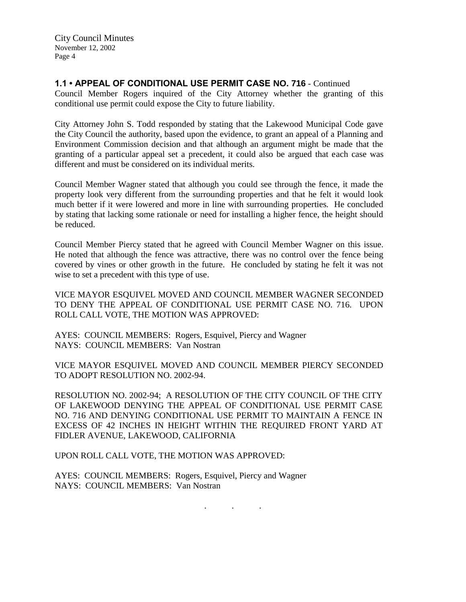# **1.1 • APPEAL OF CONDITIONAL USE PERMIT CASE NO. 716** - Continued

Council Member Rogers inquired of the City Attorney whether the granting of this conditional use permit could expose the City to future liability.

City Attorney John S. Todd responded by stating that the Lakewood Municipal Code gave the City Council the authority, based upon the evidence, to grant an appeal of a Planning and Environment Commission decision and that although an argument might be made that the granting of a particular appeal set a precedent, it could also be argued that each case was different and must be considered on its individual merits.

Council Member Wagner stated that although you could see through the fence, it made the property look very different from the surrounding properties and that he felt it would look much better if it were lowered and more in line with surrounding properties. He concluded by stating that lacking some rationale or need for installing a higher fence, the height should be reduced.

Council Member Piercy stated that he agreed with Council Member Wagner on this issue. He noted that although the fence was attractive, there was no control over the fence being covered by vines or other growth in the future. He concluded by stating he felt it was not wise to set a precedent with this type of use.

VICE MAYOR ESQUIVEL MOVED AND COUNCIL MEMBER WAGNER SECONDED TO DENY THE APPEAL OF CONDITIONAL USE PERMIT CASE NO. 716. UPON ROLL CALL VOTE, THE MOTION WAS APPROVED:

AYES: COUNCIL MEMBERS: Rogers, Esquivel, Piercy and Wagner NAYS: COUNCIL MEMBERS: Van Nostran

VICE MAYOR ESQUIVEL MOVED AND COUNCIL MEMBER PIERCY SECONDED TO ADOPT RESOLUTION NO. 2002-94.

RESOLUTION NO. 2002-94; A RESOLUTION OF THE CITY COUNCIL OF THE CITY OF LAKEWOOD DENYING THE APPEAL OF CONDITIONAL USE PERMIT CASE NO. 716 AND DENYING CONDITIONAL USE PERMIT TO MAINTAIN A FENCE IN EXCESS OF 42 INCHES IN HEIGHT WITHIN THE REQUIRED FRONT YARD AT FIDLER AVENUE, LAKEWOOD, CALIFORNIA

UPON ROLL CALL VOTE, THE MOTION WAS APPROVED:

AYES: COUNCIL MEMBERS: Rogers, Esquivel, Piercy and Wagner NAYS: COUNCIL MEMBERS: Van Nostran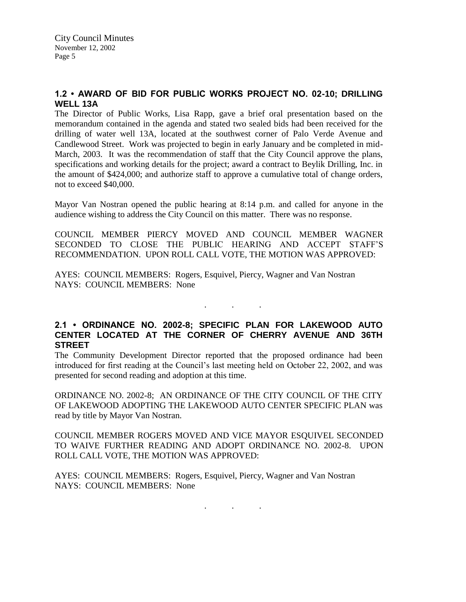# **1.2 • AWARD OF BID FOR PUBLIC WORKS PROJECT NO. 02-10; DRILLING WELL 13A**

The Director of Public Works, Lisa Rapp, gave a brief oral presentation based on the memorandum contained in the agenda and stated two sealed bids had been received for the drilling of water well 13A, located at the southwest corner of Palo Verde Avenue and Candlewood Street. Work was projected to begin in early January and be completed in mid-March, 2003. It was the recommendation of staff that the City Council approve the plans, specifications and working details for the project; award a contract to Beylik Drilling, Inc. in the amount of \$424,000; and authorize staff to approve a cumulative total of change orders, not to exceed \$40,000.

Mayor Van Nostran opened the public hearing at 8:14 p.m. and called for anyone in the audience wishing to address the City Council on this matter. There was no response.

COUNCIL MEMBER PIERCY MOVED AND COUNCIL MEMBER WAGNER SECONDED TO CLOSE THE PUBLIC HEARING AND ACCEPT STAFF'S RECOMMENDATION. UPON ROLL CALL VOTE, THE MOTION WAS APPROVED:

AYES: COUNCIL MEMBERS: Rogers, Esquivel, Piercy, Wagner and Van Nostran NAYS: COUNCIL MEMBERS: None

# **2.1 • ORDINANCE NO. 2002-8; SPECIFIC PLAN FOR LAKEWOOD AUTO CENTER LOCATED AT THE CORNER OF CHERRY AVENUE AND 36TH STREET**

. . .

The Community Development Director reported that the proposed ordinance had been introduced for first reading at the Council's last meeting held on October 22, 2002, and was presented for second reading and adoption at this time.

ORDINANCE NO. 2002-8; AN ORDINANCE OF THE CITY COUNCIL OF THE CITY OF LAKEWOOD ADOPTING THE LAKEWOOD AUTO CENTER SPECIFIC PLAN was read by title by Mayor Van Nostran.

COUNCIL MEMBER ROGERS MOVED AND VICE MAYOR ESQUIVEL SECONDED TO WAIVE FURTHER READING AND ADOPT ORDINANCE NO. 2002-8. UPON ROLL CALL VOTE, THE MOTION WAS APPROVED:

AYES: COUNCIL MEMBERS: Rogers, Esquivel, Piercy, Wagner and Van Nostran NAYS: COUNCIL MEMBERS: None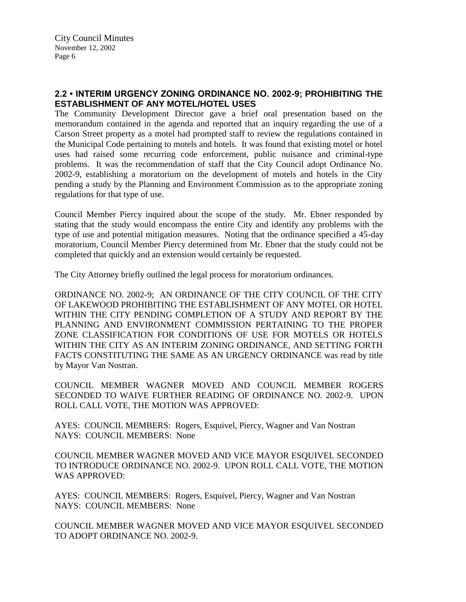# **2.2 • INTERIM URGENCY ZONING ORDINANCE NO. 2002-9; PROHIBITING THE ESTABLISHMENT OF ANY MOTEL/HOTEL USES**

The Community Development Director gave a brief oral presentation based on the memorandum contained in the agenda and reported that an inquiry regarding the use of a Carson Street property as a motel had prompted staff to review the regulations contained in the Municipal Code pertaining to motels and hotels. It was found that existing motel or hotel uses had raised some recurring code enforcement, public nuisance and criminal-type problems. It was the recommendation of staff that the City Council adopt Ordinance No. 2002-9, establishing a moratorium on the development of motels and hotels in the City pending a study by the Planning and Environment Commission as to the appropriate zoning regulations for that type of use.

Council Member Piercy inquired about the scope of the study. Mr. Ebner responded by stating that the study would encompass the entire City and identify any problems with the type of use and potential mitigation measures. Noting that the ordinance specified a 45-day moratorium, Council Member Piercy determined from Mr. Ebner that the study could not be completed that quickly and an extension would certainly be requested.

The City Attorney briefly outlined the legal process for moratorium ordinances.

ORDINANCE NO. 2002-9; AN ORDINANCE OF THE CITY COUNCIL OF THE CITY OF LAKEWOOD PROHIBITING THE ESTABLISHMENT OF ANY MOTEL OR HOTEL WITHIN THE CITY PENDING COMPLETION OF A STUDY AND REPORT BY THE PLANNING AND ENVIRONMENT COMMISSION PERTAINING TO THE PROPER ZONE CLASSIFICATION FOR CONDITIONS OF USE FOR MOTELS OR HOTELS WITHIN THE CITY AS AN INTERIM ZONING ORDINANCE, AND SETTING FORTH FACTS CONSTITUTING THE SAME AS AN URGENCY ORDINANCE was read by title by Mayor Van Nostran.

COUNCIL MEMBER WAGNER MOVED AND COUNCIL MEMBER ROGERS SECONDED TO WAIVE FURTHER READING OF ORDINANCE NO. 2002-9. UPON ROLL CALL VOTE, THE MOTION WAS APPROVED:

AYES: COUNCIL MEMBERS: Rogers, Esquivel, Piercy, Wagner and Van Nostran NAYS: COUNCIL MEMBERS: None

COUNCIL MEMBER WAGNER MOVED AND VICE MAYOR ESQUIVEL SECONDED TO INTRODUCE ORDINANCE NO. 2002-9. UPON ROLL CALL VOTE, THE MOTION WAS APPROVED:

AYES: COUNCIL MEMBERS: Rogers, Esquivel, Piercy, Wagner and Van Nostran NAYS: COUNCIL MEMBERS: None

COUNCIL MEMBER WAGNER MOVED AND VICE MAYOR ESQUIVEL SECONDED TO ADOPT ORDINANCE NO. 2002-9.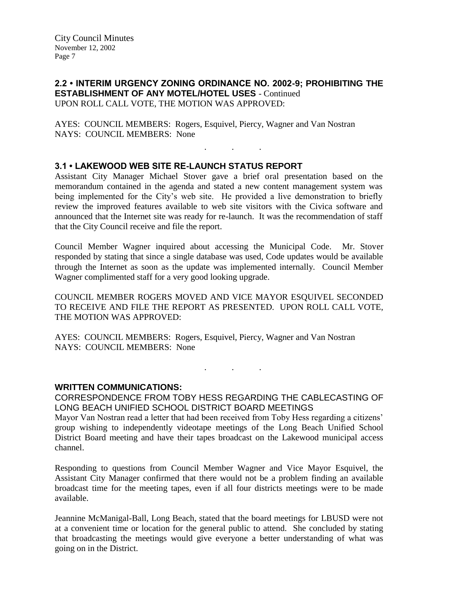## **2.2 • INTERIM URGENCY ZONING ORDINANCE NO. 2002-9; PROHIBITING THE ESTABLISHMENT OF ANY MOTEL/HOTEL USES** - Continued UPON ROLL CALL VOTE, THE MOTION WAS APPROVED:

. . .

AYES: COUNCIL MEMBERS: Rogers, Esquivel, Piercy, Wagner and Van Nostran NAYS: COUNCIL MEMBERS: None

### **3.1 • LAKEWOOD WEB SITE RE-LAUNCH STATUS REPORT**

Assistant City Manager Michael Stover gave a brief oral presentation based on the memorandum contained in the agenda and stated a new content management system was being implemented for the City's web site. He provided a live demonstration to briefly review the improved features available to web site visitors with the Civica software and announced that the Internet site was ready for re-launch. It was the recommendation of staff that the City Council receive and file the report.

Council Member Wagner inquired about accessing the Municipal Code. Mr. Stover responded by stating that since a single database was used, Code updates would be available through the Internet as soon as the update was implemented internally. Council Member Wagner complimented staff for a very good looking upgrade.

COUNCIL MEMBER ROGERS MOVED AND VICE MAYOR ESQUIVEL SECONDED TO RECEIVE AND FILE THE REPORT AS PRESENTED. UPON ROLL CALL VOTE, THE MOTION WAS APPROVED:

AYES: COUNCIL MEMBERS: Rogers, Esquivel, Piercy, Wagner and Van Nostran NAYS: COUNCIL MEMBERS: None

#### **WRITTEN COMMUNICATIONS:**

CORRESPONDENCE FROM TOBY HESS REGARDING THE CABLECASTING OF LONG BEACH UNIFIED SCHOOL DISTRICT BOARD MEETINGS

. . .

Mayor Van Nostran read a letter that had been received from Toby Hess regarding a citizens' group wishing to independently videotape meetings of the Long Beach Unified School District Board meeting and have their tapes broadcast on the Lakewood municipal access channel.

Responding to questions from Council Member Wagner and Vice Mayor Esquivel, the Assistant City Manager confirmed that there would not be a problem finding an available broadcast time for the meeting tapes, even if all four districts meetings were to be made available.

Jeannine McManigal-Ball, Long Beach, stated that the board meetings for LBUSD were not at a convenient time or location for the general public to attend. She concluded by stating that broadcasting the meetings would give everyone a better understanding of what was going on in the District.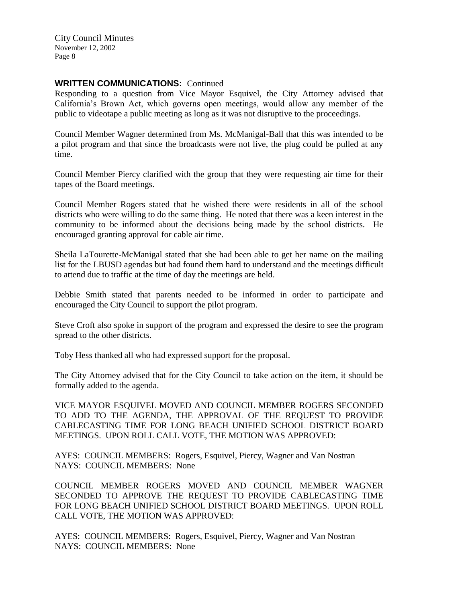# **WRITTEN COMMUNICATIONS: Continued**

Responding to a question from Vice Mayor Esquivel, the City Attorney advised that California's Brown Act, which governs open meetings, would allow any member of the public to videotape a public meeting as long as it was not disruptive to the proceedings.

Council Member Wagner determined from Ms. McManigal-Ball that this was intended to be a pilot program and that since the broadcasts were not live, the plug could be pulled at any time.

Council Member Piercy clarified with the group that they were requesting air time for their tapes of the Board meetings.

Council Member Rogers stated that he wished there were residents in all of the school districts who were willing to do the same thing. He noted that there was a keen interest in the community to be informed about the decisions being made by the school districts. He encouraged granting approval for cable air time.

Sheila LaTourette-McManigal stated that she had been able to get her name on the mailing list for the LBUSD agendas but had found them hard to understand and the meetings difficult to attend due to traffic at the time of day the meetings are held.

Debbie Smith stated that parents needed to be informed in order to participate and encouraged the City Council to support the pilot program.

Steve Croft also spoke in support of the program and expressed the desire to see the program spread to the other districts.

Toby Hess thanked all who had expressed support for the proposal.

The City Attorney advised that for the City Council to take action on the item, it should be formally added to the agenda.

VICE MAYOR ESQUIVEL MOVED AND COUNCIL MEMBER ROGERS SECONDED TO ADD TO THE AGENDA, THE APPROVAL OF THE REQUEST TO PROVIDE CABLECASTING TIME FOR LONG BEACH UNIFIED SCHOOL DISTRICT BOARD MEETINGS. UPON ROLL CALL VOTE, THE MOTION WAS APPROVED:

AYES: COUNCIL MEMBERS: Rogers, Esquivel, Piercy, Wagner and Van Nostran NAYS: COUNCIL MEMBERS: None

COUNCIL MEMBER ROGERS MOVED AND COUNCIL MEMBER WAGNER SECONDED TO APPROVE THE REQUEST TO PROVIDE CABLECASTING TIME FOR LONG BEACH UNIFIED SCHOOL DISTRICT BOARD MEETINGS. UPON ROLL CALL VOTE, THE MOTION WAS APPROVED:

AYES: COUNCIL MEMBERS: Rogers, Esquivel, Piercy, Wagner and Van Nostran NAYS: COUNCIL MEMBERS: None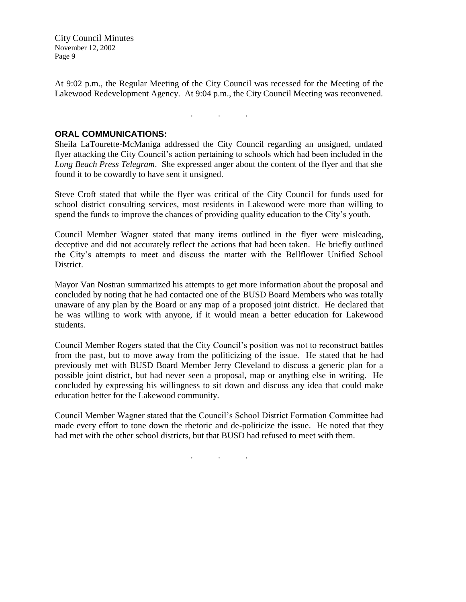At 9:02 p.m., the Regular Meeting of the City Council was recessed for the Meeting of the Lakewood Redevelopment Agency. At 9:04 p.m., the City Council Meeting was reconvened.

. . .

**ORAL COMMUNICATIONS:**

Sheila LaTourette-McManiga addressed the City Council regarding an unsigned, undated flyer attacking the City Council's action pertaining to schools which had been included in the *Long Beach Press Telegram*. She expressed anger about the content of the flyer and that she found it to be cowardly to have sent it unsigned.

Steve Croft stated that while the flyer was critical of the City Council for funds used for school district consulting services, most residents in Lakewood were more than willing to spend the funds to improve the chances of providing quality education to the City's youth.

Council Member Wagner stated that many items outlined in the flyer were misleading, deceptive and did not accurately reflect the actions that had been taken. He briefly outlined the City's attempts to meet and discuss the matter with the Bellflower Unified School District.

Mayor Van Nostran summarized his attempts to get more information about the proposal and concluded by noting that he had contacted one of the BUSD Board Members who was totally unaware of any plan by the Board or any map of a proposed joint district. He declared that he was willing to work with anyone, if it would mean a better education for Lakewood students.

Council Member Rogers stated that the City Council's position was not to reconstruct battles from the past, but to move away from the politicizing of the issue. He stated that he had previously met with BUSD Board Member Jerry Cleveland to discuss a generic plan for a possible joint district, but had never seen a proposal, map or anything else in writing. He concluded by expressing his willingness to sit down and discuss any idea that could make education better for the Lakewood community.

Council Member Wagner stated that the Council's School District Formation Committee had made every effort to tone down the rhetoric and de-politicize the issue. He noted that they had met with the other school districts, but that BUSD had refused to meet with them.